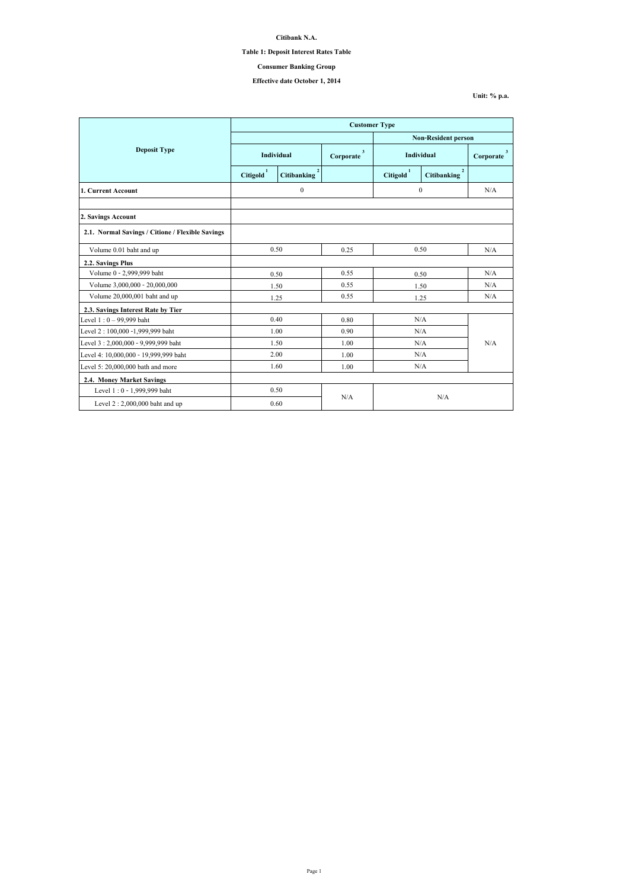**Unit: % p.a.**

|                                                  | <b>Customer Type</b>       |                                      |                           |                       |                                      |                |
|--------------------------------------------------|----------------------------|--------------------------------------|---------------------------|-----------------------|--------------------------------------|----------------|
|                                                  | <b>Non-Resident person</b> |                                      |                           |                       |                                      |                |
| <b>Deposit Type</b>                              | <b>Individual</b>          |                                      | $\mathbf{3}$<br>Corporate | <b>Individual</b>     |                                      | 3<br>Corporate |
|                                                  | Citigold <sup>1</sup>      | 2 <sup>1</sup><br><b>Citibanking</b> |                           | Citigold <sup>1</sup> | $\overline{2}$<br><b>Citibanking</b> |                |
| 1. Current Account                               |                            | $\boldsymbol{0}$                     |                           | $\boldsymbol{0}$      |                                      | N/A            |
|                                                  |                            |                                      |                           |                       |                                      |                |
| 2. Savings Account                               |                            |                                      |                           |                       |                                      |                |
| 2.1. Normal Savings / Citione / Flexible Savings |                            |                                      |                           |                       |                                      |                |
| Volume 0.01 baht and up                          | 0.50                       |                                      | 0.25                      | 0.50                  |                                      | N/A            |
| <b>2.2. Savings Plus</b>                         |                            |                                      |                           |                       |                                      |                |
| Volume 0 - 2,999,999 baht                        | 0.50                       |                                      | 0.55                      | 0.50                  |                                      | N/A            |
| Volume 3,000,000 - 20,000,000                    |                            | 1.50                                 | 0.55                      | 1.50                  |                                      | N/A            |
| Volume 20,000,001 baht and up                    | 1.25                       |                                      | 0.55                      | 1.25                  |                                      | N/A            |
| 2.3. Savings Interest Rate by Tier               |                            |                                      |                           |                       |                                      |                |
| Level $1:0 - 99,999$ baht                        | 0.40                       |                                      | 0.80                      |                       | N/A                                  |                |
| Level 2 : 100,000 -1,999,999 baht                |                            | 1.00                                 | 0.90                      | N/A                   |                                      |                |
| Level 3: 2,000,000 - 9,999,999 baht              |                            | 1.50                                 | 1.00                      | N/A                   |                                      | N/A            |
| Level 4: 10,000,000 - 19,999,999 baht            | 2.00                       |                                      | 1.00                      | N/A                   |                                      |                |
| Level 5: 20,000,000 bath and more                | 1.60                       |                                      | 1.00                      | N/A                   |                                      |                |
| <b>2.4. Money Market Savings</b>                 |                            |                                      |                           |                       |                                      |                |
| Level 1:0 - 1,999,999 baht                       |                            | 0.50                                 |                           |                       |                                      |                |
| Level $2:2,000,000$ baht and up                  |                            | 0.60                                 | N/A                       | N/A                   |                                      |                |

**Citibank N.A.**

**Table 1: Deposit Interest Rates Table**

**Effective date October 1, 2014**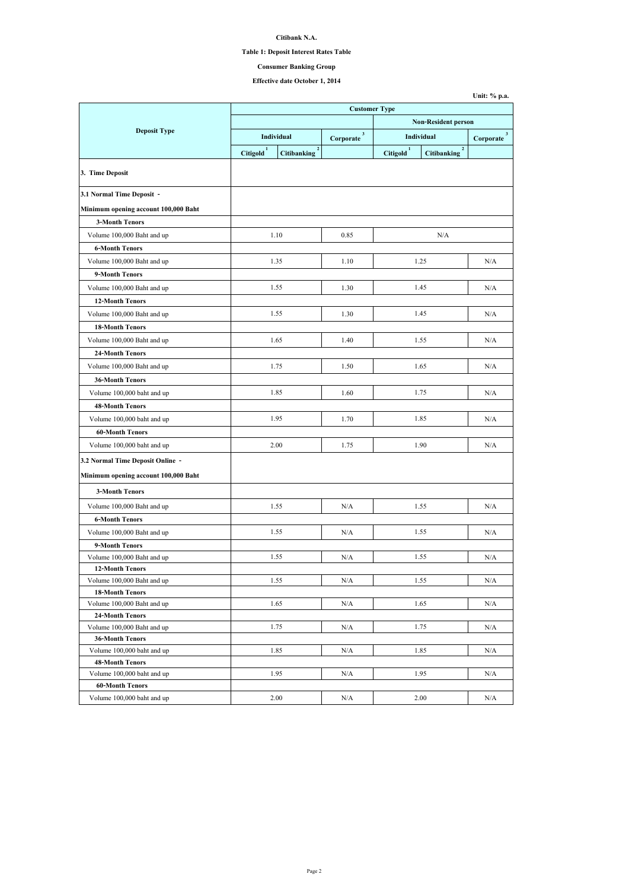## **Table 1: Deposit Interest Rates Table**

# **Effective date October 1, 2014**

|                                                                          |                       |                                      | <b>Customer Type</b>        |                            |                                   |                          |  |
|--------------------------------------------------------------------------|-----------------------|--------------------------------------|-----------------------------|----------------------------|-----------------------------------|--------------------------|--|
|                                                                          |                       |                                      |                             | <b>Non-Resident person</b> |                                   |                          |  |
| <b>Deposit Type</b>                                                      | Individual            |                                      | 3 <sup>1</sup><br>Corporate | Individual                 |                                   | $3^{\circ}$<br>Corporate |  |
|                                                                          | Citigold <sup>1</sup> | $\overline{2}$<br><b>Citibanking</b> |                             | Citigold <sup>1</sup>      | $2^{\circ}$<br><b>Citibanking</b> |                          |  |
| 3. Time Deposit                                                          |                       |                                      |                             |                            |                                   |                          |  |
| 3.1 Normal Time Deposit -                                                |                       |                                      |                             |                            |                                   |                          |  |
| Minimum opening account 100,000 Baht                                     |                       |                                      |                             |                            |                                   |                          |  |
| <b>3-Month Tenors</b>                                                    |                       |                                      |                             |                            |                                   |                          |  |
| Volume 100,000 Baht and up                                               |                       | 1.10                                 | 0.85                        |                            | N/A                               |                          |  |
| <b>6-Month Tenors</b>                                                    |                       |                                      |                             |                            |                                   |                          |  |
| Volume 100,000 Baht and up                                               |                       | 1.35                                 | 1.10                        |                            | 1.25                              | N/A                      |  |
| 9-Month Tenors                                                           |                       |                                      |                             |                            |                                   |                          |  |
| Volume 100,000 Baht and up                                               |                       | 1.55                                 | 1.30                        |                            | 1.45                              | N/A                      |  |
| <b>12-Month Tenors</b>                                                   |                       |                                      |                             |                            |                                   |                          |  |
| Volume 100,000 Baht and up                                               |                       | 1.55                                 | 1.30                        |                            | 1.45                              | N/A                      |  |
| <b>18-Month Tenors</b>                                                   |                       |                                      |                             |                            |                                   |                          |  |
| Volume 100,000 Baht and up                                               |                       | 1.65                                 | 1.40                        |                            | 1.55                              | N/A                      |  |
| <b>24-Month Tenors</b>                                                   |                       |                                      |                             |                            |                                   |                          |  |
| Volume 100,000 Baht and up                                               | 1.75                  |                                      | 1.50                        | 1.65                       |                                   | N/A                      |  |
| <b>36-Month Tenors</b>                                                   |                       |                                      |                             |                            |                                   |                          |  |
| Volume 100,000 baht and up                                               | 1.85                  |                                      | 1.60                        |                            | 1.75                              | N/A                      |  |
| <b>48-Month Tenors</b>                                                   |                       |                                      |                             |                            |                                   |                          |  |
| Volume 100,000 baht and up                                               |                       | 1.95                                 | 1.70                        |                            | 1.85                              | N/A                      |  |
| <b>60-Month Tenors</b>                                                   |                       |                                      |                             |                            |                                   |                          |  |
| Volume 100,000 baht and up                                               |                       | 2.00                                 | 1.75                        |                            | 1.90                              | N/A                      |  |
|                                                                          |                       |                                      |                             |                            |                                   |                          |  |
| 3.2 Normal Time Deposit Online -<br>Minimum opening account 100,000 Baht |                       |                                      |                             |                            |                                   |                          |  |
| <b>3-Month Tenors</b>                                                    |                       |                                      |                             |                            |                                   |                          |  |
| Volume 100,000 Baht and up                                               |                       | 1.55                                 | N/A                         |                            | 1.55                              | N/A                      |  |
| <b>6-Month Tenors</b>                                                    |                       |                                      |                             |                            |                                   |                          |  |
| Volume 100,000 Baht and up                                               |                       | 1.55                                 | N/A                         |                            | 1.55                              | N/A                      |  |
| 9-Month Tenors                                                           |                       |                                      |                             |                            |                                   |                          |  |
| Volume 100,000 Baht and up                                               |                       | 1.55                                 | N/A                         |                            | 1.55                              | N/A                      |  |
| <b>12-Month Tenors</b>                                                   |                       |                                      |                             |                            |                                   |                          |  |
| Volume 100,000 Baht and up                                               |                       | 1.55                                 | N/A                         | 1.55                       |                                   | N/A                      |  |
| <b>18-Month Tenors</b>                                                   |                       |                                      |                             |                            |                                   |                          |  |
| Volume 100,000 Baht and up                                               |                       | 1.65                                 | N/A                         | 1.65                       |                                   | N/A                      |  |
| <b>24-Month Tenors</b>                                                   |                       |                                      |                             |                            |                                   |                          |  |
| Volume 100,000 Baht and up                                               |                       | 1.75                                 | N/A                         |                            | 1.75                              | N/A                      |  |
| <b>36-Month Tenors</b><br>Volume 100,000 baht and up                     |                       | 1.85                                 | N/A                         |                            | 1.85                              | N/A                      |  |
| <b>48-Month Tenors</b>                                                   |                       |                                      |                             |                            |                                   |                          |  |
| Volume 100,000 baht and up                                               |                       | 1.95                                 | N/A                         |                            | 1.95                              | N/A                      |  |
| <b>60-Month Tenors</b>                                                   |                       |                                      |                             |                            |                                   |                          |  |
| Volume 100,000 baht and up                                               |                       | 2.00                                 | N/A                         |                            | 2.00                              | N/A                      |  |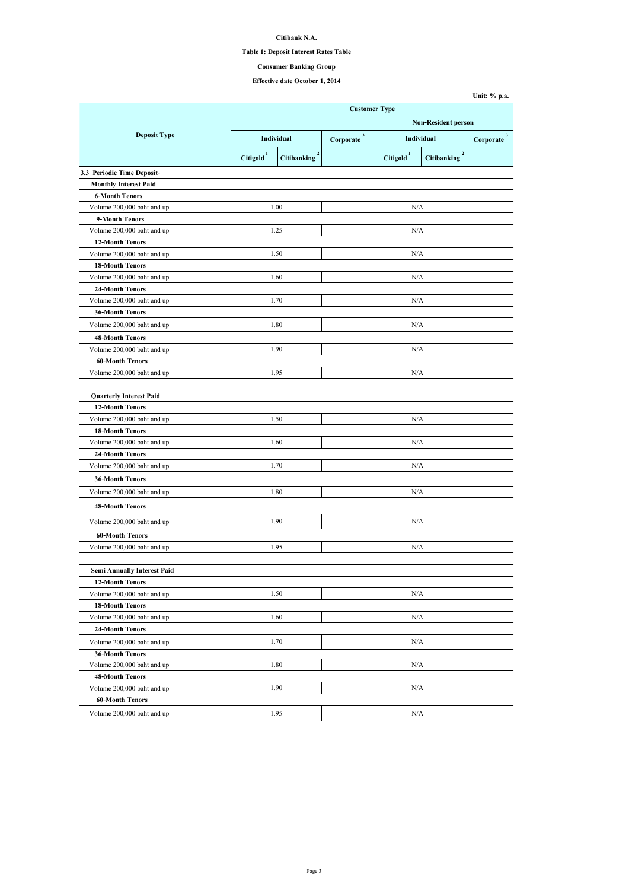## **Table 1: Deposit Interest Rates Table**

# **Effective date October 1, 2014**

|                                    |                       |                                      | <b>Customer Type</b>       |                       |                                      |                           |
|------------------------------------|-----------------------|--------------------------------------|----------------------------|-----------------------|--------------------------------------|---------------------------|
|                                    |                       |                                      | <b>Non-Resident person</b> |                       |                                      |                           |
| <b>Deposit Type</b>                | Individual            |                                      | $\mathbf{3}$<br>Corporate  | <b>Individual</b>     |                                      | $\mathbf{3}$<br>Corporate |
|                                    | Citigold <sup>1</sup> | $\overline{2}$<br><b>Citibanking</b> |                            | Citigold <sup>1</sup> | $\overline{2}$<br><b>Citibanking</b> |                           |
| 3.3 Periodic Time Deposit-         |                       |                                      |                            |                       |                                      |                           |
| <b>Monthly Interest Paid</b>       |                       |                                      |                            |                       |                                      |                           |
| <b>6-Month Tenors</b>              |                       |                                      |                            |                       |                                      |                           |
| Volume 200,000 baht and up         |                       | 1.00                                 |                            | N/A                   |                                      |                           |
| 9-Month Tenors                     |                       |                                      |                            |                       |                                      |                           |
| Volume 200,000 baht and up         | 1.25                  |                                      |                            | N/A                   |                                      |                           |
| <b>12-Month Tenors</b>             |                       |                                      |                            |                       |                                      |                           |
| Volume 200,000 baht and up         |                       | 1.50                                 |                            | N/A                   |                                      |                           |
| <b>18-Month Tenors</b>             |                       |                                      |                            |                       |                                      |                           |
| Volume 200,000 baht and up         |                       | 1.60                                 |                            | N/A                   |                                      |                           |
| <b>24-Month Tenors</b>             |                       |                                      |                            |                       |                                      |                           |
| Volume 200,000 baht and up         |                       | 1.70                                 |                            | N/A                   |                                      |                           |
| <b>36-Month Tenors</b>             |                       |                                      |                            |                       |                                      |                           |
| Volume 200,000 baht and up         |                       | 1.80                                 |                            | N/A                   |                                      |                           |
| <b>48-Month Tenors</b>             |                       |                                      |                            |                       |                                      |                           |
| Volume 200,000 baht and up         |                       | 1.90                                 |                            | N/A                   |                                      |                           |
| <b>60-Month Tenors</b>             |                       |                                      |                            |                       |                                      |                           |
| Volume 200,000 baht and up         |                       | 1.95                                 | N/A                        |                       |                                      |                           |
|                                    |                       |                                      |                            |                       |                                      |                           |
| <b>Quarterly Interest Paid</b>     |                       |                                      |                            |                       |                                      |                           |
| <b>12-Month Tenors</b>             |                       |                                      |                            |                       |                                      |                           |
| Volume 200,000 baht and up         |                       | 1.50                                 | N/A                        |                       |                                      |                           |
| <b>18-Month Tenors</b>             |                       |                                      |                            |                       |                                      |                           |
| Volume 200,000 baht and up         |                       | 1.60                                 | N/A                        |                       |                                      |                           |
| <b>24-Month Tenors</b>             |                       |                                      |                            |                       |                                      |                           |
| Volume 200,000 baht and up         |                       | 1.70                                 |                            | N/A                   |                                      |                           |
| <b>36-Month Tenors</b>             |                       |                                      |                            |                       |                                      |                           |
| Volume 200,000 baht and up         |                       | 1.80                                 |                            | N/A                   |                                      |                           |
| <b>48-Month Tenors</b>             |                       |                                      |                            |                       |                                      |                           |
| Volume 200,000 baht and up         |                       | 1.90                                 | N/A                        |                       |                                      |                           |
| <b>60-Month Tenors</b>             |                       |                                      |                            |                       |                                      |                           |
| Volume 200,000 baht and up         |                       | 1.95                                 | N/A                        |                       |                                      |                           |
|                                    |                       |                                      |                            |                       |                                      |                           |
| <b>Semi Annually Interest Paid</b> |                       |                                      |                            |                       |                                      |                           |
| <b>12-Month Tenors</b>             |                       |                                      |                            |                       |                                      |                           |
| Volume 200,000 baht and up         |                       | 1.50                                 |                            | N/A                   |                                      |                           |
| <b>18-Month Tenors</b>             |                       |                                      |                            |                       |                                      |                           |
| Volume 200,000 baht and up         |                       | 1.60                                 | N/A                        |                       |                                      |                           |
| <b>24-Month Tenors</b>             |                       |                                      |                            |                       |                                      |                           |
| Volume 200,000 baht and up         |                       | 1.70                                 | N/A                        |                       |                                      |                           |
| <b>36-Month Tenors</b>             |                       |                                      |                            |                       |                                      |                           |
| Volume 200,000 baht and up         |                       | 1.80                                 |                            | N/A                   |                                      |                           |
| <b>48-Month Tenors</b>             |                       |                                      |                            |                       |                                      |                           |
| Volume 200,000 baht and up         |                       | 1.90                                 |                            | N/A                   |                                      |                           |
| <b>60-Month Tenors</b>             |                       |                                      |                            |                       |                                      |                           |
| Volume 200,000 baht and up         | 1.95                  |                                      | N/A                        |                       |                                      |                           |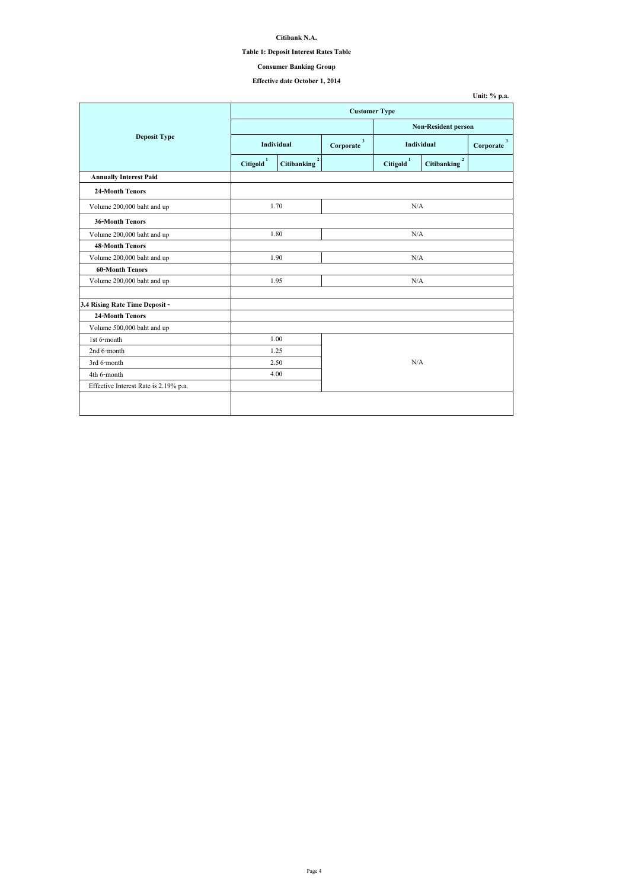| Unit: $\%$ p.a. |  |  |
|-----------------|--|--|
|-----------------|--|--|

## **Table 1: Deposit Interest Rates Table**

# **Effective date October 1, 2014**

|                                       | <b>Customer Type</b>                                          |      |                           |                       |                                               |                           |
|---------------------------------------|---------------------------------------------------------------|------|---------------------------|-----------------------|-----------------------------------------------|---------------------------|
|                                       |                                                               |      |                           |                       | <b>Non-Resident person</b>                    |                           |
| <b>Deposit Type</b>                   | Individual                                                    |      | $\mathbf{3}$<br>Corporate |                       | <b>Individual</b>                             | $\mathbf{3}$<br>Corporate |
|                                       | $\overline{2}$<br>Citigold <sup>1</sup><br><b>Citibanking</b> |      |                           | Citigold <sup>1</sup> | $\overline{\mathbf{2}}$<br><b>Citibanking</b> |                           |
| <b>Annually Interest Paid</b>         |                                                               |      |                           |                       |                                               |                           |
| <b>24-Month Tenors</b>                |                                                               |      |                           |                       |                                               |                           |
| Volume 200,000 baht and up            | 1.70                                                          |      |                           | N/A                   |                                               |                           |
| <b>36-Month Tenors</b>                |                                                               |      |                           |                       |                                               |                           |
| Volume 200,000 baht and up            | 1.80                                                          |      |                           | N/A                   |                                               |                           |
| <b>48-Month Tenors</b>                |                                                               |      |                           |                       |                                               |                           |
| Volume 200,000 baht and up            | 1.90                                                          |      | N/A                       |                       |                                               |                           |
| <b>60-Month Tenors</b>                |                                                               |      |                           |                       |                                               |                           |
| Volume 200,000 baht and up            | 1.95                                                          |      |                           | N/A                   |                                               |                           |
| 3.4 Rising Rate Time Deposit -        |                                                               |      |                           |                       |                                               |                           |
| <b>24-Month Tenors</b>                |                                                               |      |                           |                       |                                               |                           |
| Volume 500,000 baht and up            |                                                               |      |                           |                       |                                               |                           |
| 1st 6-month                           |                                                               | 1.00 |                           |                       |                                               |                           |
| 2nd 6-month                           | 1.25                                                          |      |                           |                       |                                               |                           |
| 3rd 6-month                           |                                                               | 2.50 | N/A                       |                       |                                               |                           |
| 4th 6-month                           |                                                               | 4.00 |                           |                       |                                               |                           |
| Effective Interest Rate is 2.19% p.a. |                                                               |      |                           |                       |                                               |                           |
|                                       |                                                               |      |                           |                       |                                               |                           |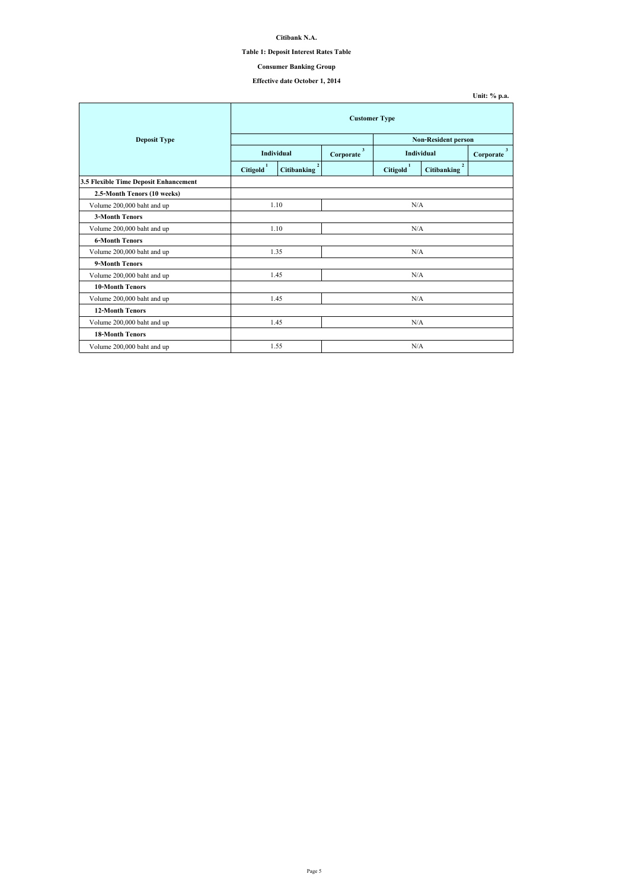| Unit: $\%$ p.a. |  |  |
|-----------------|--|--|
|-----------------|--|--|

## **Table 1: Deposit Interest Rates Table**

# **Effective date October 1, 2014**

|                                       | <b>Customer Type</b>  |                                      |                           |                       |                                      |                             |
|---------------------------------------|-----------------------|--------------------------------------|---------------------------|-----------------------|--------------------------------------|-----------------------------|
| <b>Deposit Type</b>                   |                       |                                      |                           |                       | <b>Non-Resident person</b>           |                             |
|                                       |                       | <b>Individual</b>                    | $\mathbf{3}$<br>Corporate |                       | <b>Individual</b>                    | 3 <sup>1</sup><br>Corporate |
|                                       | Citigold <sup>1</sup> | $\overline{2}$<br><b>Citibanking</b> |                           | Citigold <sup>1</sup> | $\overline{2}$<br><b>Citibanking</b> |                             |
| 3.5 Flexible Time Deposit Enhancement |                       |                                      |                           |                       |                                      |                             |
| 2.5-Month Tenors (10 weeks)           |                       |                                      |                           |                       |                                      |                             |
| Volume 200,000 baht and up            | 1.10                  |                                      | N/A                       |                       |                                      |                             |
| <b>3-Month Tenors</b>                 |                       |                                      |                           |                       |                                      |                             |
| Volume 200,000 baht and up            | 1.10                  |                                      | N/A                       |                       |                                      |                             |
| <b>6-Month Tenors</b>                 |                       |                                      |                           |                       |                                      |                             |
| Volume 200,000 baht and up            |                       | 1.35                                 | N/A                       |                       |                                      |                             |
| 9-Month Tenors                        |                       |                                      |                           |                       |                                      |                             |
| Volume 200,000 baht and up            |                       | 1.45                                 |                           | N/A                   |                                      |                             |
| <b>10-Month Tenors</b>                |                       |                                      |                           |                       |                                      |                             |
| Volume 200,000 baht and up            |                       | 1.45                                 | N/A                       |                       |                                      |                             |
| <b>12-Month Tenors</b>                |                       |                                      |                           |                       |                                      |                             |
| Volume 200,000 baht and up            |                       | 1.45                                 | N/A                       |                       |                                      |                             |
| <b>18-Month Tenors</b>                |                       |                                      |                           |                       |                                      |                             |
| Volume 200,000 baht and up            |                       | 1.55                                 |                           | N/A                   |                                      |                             |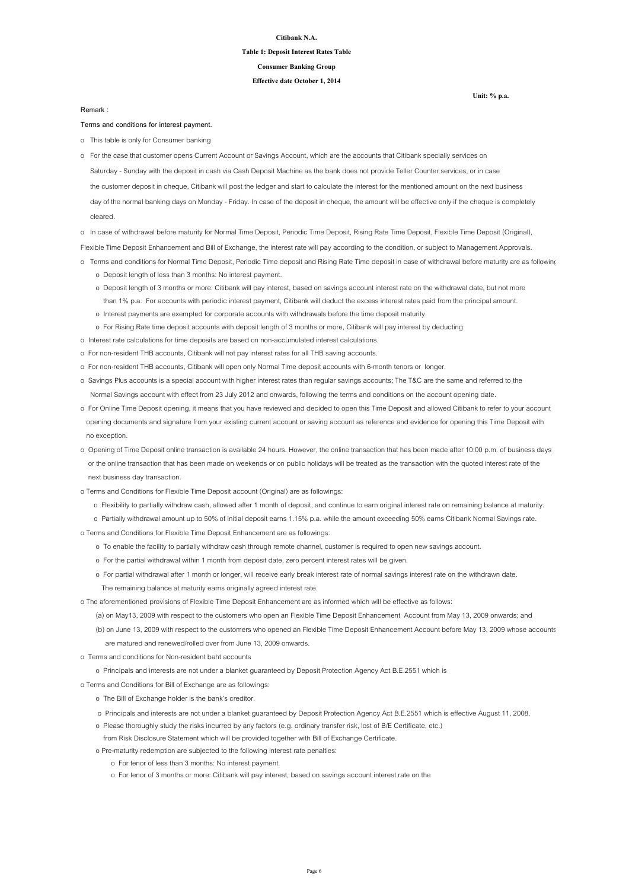**Unit: % p.a.**

#### **Citibank N.A.**

#### **Table 1: Deposit Interest Rates Table**

**Effective date October 1, 2014**

**Consumer Banking Group**

**Terms and conditions for interest payment.**

o This table is only for Consumer banking

o In case of withdrawal before maturity for Normal Time Deposit, Periodic Time Deposit, Rising Rate Time Deposit, Flexible Time Deposit (Original),

Flexible Time Deposit Enhancement and Bill of Exchange, the interest rate will pay according to the condition, or subject to Management Approvals.

- o Terms and conditions for Normal Time Deposit, Periodic Time deposit and Rising Rate Time deposit in case of withdrawal before maturity are as following
	- o Deposit length of less than 3 months: No interest payment.
	- o Deposit length of 3 months or more: Citibank will pay interest, based on savings account interest rate on the withdrawal date, but not more than 1% p.a. For accounts with periodic interest payment, Citibank will deduct the excess interest rates paid from the principal amount.
	- o Interest payments are exempted for corporate accounts with withdrawals before the time deposit maturity.
	- o For Rising Rate time deposit accounts with deposit length of 3 months or more, Citibank will pay interest by deducting
- o Interest rate calculations for time deposits are based on non-accumulated interest calculations.
- o For non-resident THB accounts, Citibank will not pay interest rates for all THB saving accounts.
- o For non-resident THB accounts, Citibank will open only Normal Time deposit accounts with 6-month tenors or longer.
- o Savings Plus accounts is a special account with higher interest rates than regular savings accounts; The T&C are the same and referred to the Normal Savings account with effect from 23 July 2012 and onwards, following the terms and conditions on the account opening date.
- o For Online Time Deposit opening, it means that you have reviewed and decided to open this Time Deposit and allowed Citibank to refer to your account opening documents and signature from your existing current account or saving account as reference and evidence for opening this Time Deposit with no exception.
- o Opening of Time Deposit online transaction is available 24 hours. However, the online transaction that has been made after 10:00 p.m. of business days or the online transaction that has been made on weekends or on public holidays will be treated as the transaction with the quoted interest rate of the

 Saturday - Sunday with the deposit in cash via Cash Deposit Machine as the bank does not provide Teller Counter services, or in case the customer deposit in cheque, Citibank will post the ledger and start to calculate the interest for the mentioned amount on the next business day of the normal banking days on Monday - Friday. In case of the deposit in cheque, the amount will be effective only if the cheque is completely cleared. o For the case that customer opens Current Account or Savings Account, which are the accounts that Citibank specially services on

next business day transaction.

- o Terms and Conditions for Flexible Time Deposit account (Original) are as followings:
	- o Flexibility to partially withdraw cash, allowed after 1 month of deposit, and continue to earn original interest rate on remaining balance at maturity.
	- o Partially withdrawal amount up to 50% of initial deposit earns 1.15% p.a. while the amount exceeding 50% earns Citibank Normal Savings rate.
- o Terms and Conditions for Flexible Time Deposit Enhancement are as followings:
	- o To enable the facility to partially withdraw cash through remote channel, customer is required to open new savings account.
	- o For the partial withdrawal within 1 month from deposit date, zero percent interest rates will be given.
	- o For partial withdrawal after 1 month or longer, will receive early break interest rate of normal savings interest rate on the withdrawn date.
		- The remaining balance at maturity earns originally agreed interest rate.
- o The aforementioned provisions of Flexible Time Deposit Enhancement are as informed which will be effective as follows:
	- (a) on May13, 2009 with respect to the customers who open an Flexible Time Deposit Enhancement Account from May 13, 2009 onwards; and
	- (b) on June 13, 2009 with respect to the customers who opened an Flexible Time Deposit Enhancement Account before May 13, 2009 whose accounts are matured and renewed/rolled over from June 13, 2009 onwards.
- o Terms and conditions for Non-resident baht accounts
	- o Principals and interests are not under a blanket guaranteed by Deposit Protection Agency Act B.E.2551 which is
- o Terms and Conditions for Bill of Exchange are as followings:
	- o The Bill of Exchange holder is the bank's creditor.
	- o Principals and interests are not under a blanket guaranteed by Deposit Protection Agency Act B.E.2551 which is effective August 11, 2008.
	- o Please thoroughly study the risks incurred by any factors (e.g. ordinary transfer risk, lost of B/E Certificate, etc.)
	- from Risk Disclosure Statement which will be provided together with Bill of Exchange Certificate.
	- o Pre-maturity redemption are subjected to the following interest rate penalties:
		- o For tenor of less than 3 months: No interest payment.
		- o For tenor of 3 months or more: Citibank will pay interest, based on savings account interest rate on the

**Remark :**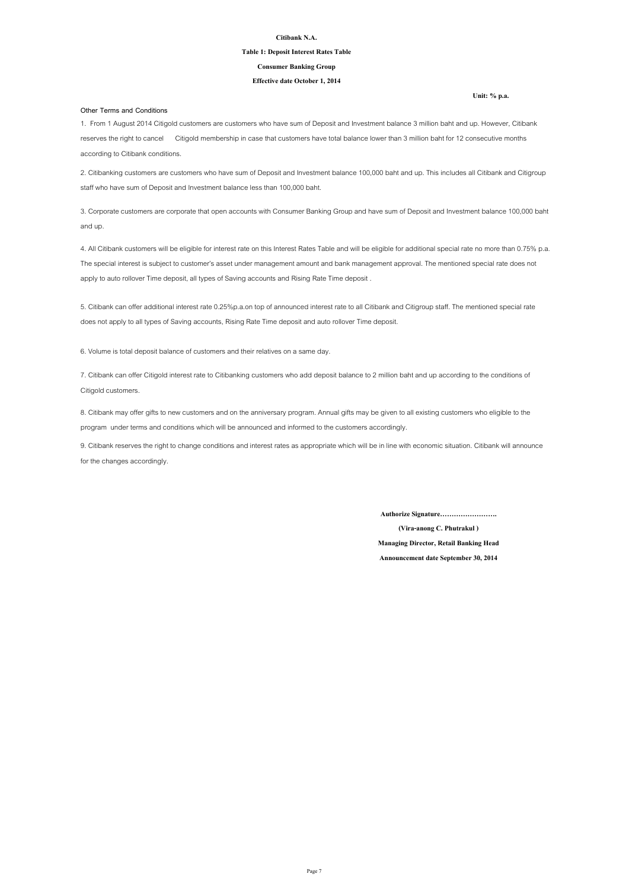**Unit: % p.a.**

#### **Citibank N.A.**

#### **Table 1: Deposit Interest Rates Table**

#### **Effective date October 1, 2014**

#### **Consumer Banking Group**

#### **Other Terms and Conditions**

**Announcement date September 30, 2014**

**(Vira-anong C. Phutrakul )**

**Managing Director, Retail Banking Head**

**Authorize Signature…………………….**

8. Citibank may offer gifts to new customers and on the anniversary program. Annual gifts may be given to all existing customers who eligible to the program under terms and conditions which will be announced and informed to the customers accordingly.

9. Citibank reserves the right to change conditions and interest rates as appropriate which will be in line with economic situation. Citibank will announce for the changes accordingly.

1. From 1 August 2014 Citigold customers are customers who have sum of Deposit and Investment balance 3 million baht and up. However, Citibank reserves the right to cancel Citigold membership in case that customers have total balance lower than 3 million baht for 12 consecutive months according to Citibank conditions.

2. Citibanking customers are customers who have sum of Deposit and Investment balance 100,000 baht and up. This includes all Citibank and Citigroup staff who have sum of Deposit and Investment balance less than 100,000 baht.

3. Corporate customers are corporate that open accounts with Consumer Banking Group and have sum of Deposit and Investment balance 100,000 baht and up.

4. All Citibank customers will be eligible for interest rate on this Interest Rates Table and will be eligible for additional special rate no more than 0.75% p.a. The special interest is subject to customer's asset under management amount and bank management approval. The mentioned special rate does not apply to auto rollover Time deposit, all types of Saving accounts and Rising Rate Time deposit .

5. Citibank can offer additional interest rate 0.25%p.a.on top of announced interest rate to all Citibank and Citigroup staff. The mentioned special rate does not apply to all types of Saving accounts, Rising Rate Time deposit and auto rollover Time deposit.

7. Citibank can offer Citigold interest rate to Citibanking customers who add deposit balance to 2 million baht and up according to the conditions of Citigold customers.

6. Volume is total deposit balance of customers and their relatives on a same day.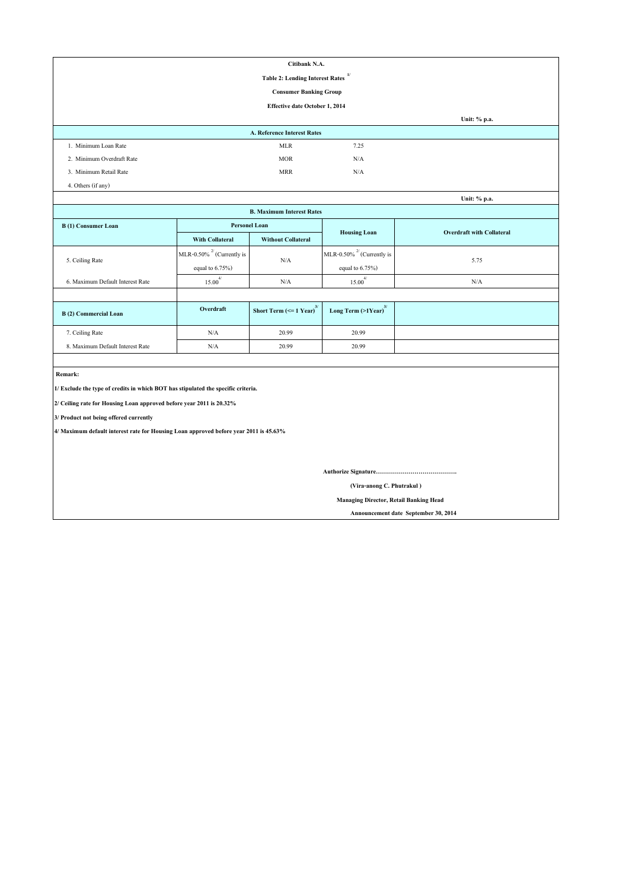|                                                                                       |                                 | Citibank N.A.                                              |                                     |                                  |  |  |  |  |
|---------------------------------------------------------------------------------------|---------------------------------|------------------------------------------------------------|-------------------------------------|----------------------------------|--|--|--|--|
|                                                                                       |                                 | <b>Table 2: Lending Interest Rates</b>                     | 1/                                  |                                  |  |  |  |  |
|                                                                                       |                                 | <b>Consumer Banking Group</b>                              |                                     |                                  |  |  |  |  |
|                                                                                       |                                 | <b>Effective date October 1, 2014</b>                      |                                     |                                  |  |  |  |  |
|                                                                                       |                                 |                                                            |                                     | Unit: % p.a.                     |  |  |  |  |
|                                                                                       |                                 | <b>A. Reference Interest Rates</b>                         |                                     |                                  |  |  |  |  |
| 1. Minimum Loan Rate                                                                  |                                 | <b>MLR</b>                                                 | 7.25                                |                                  |  |  |  |  |
| 2. Minimum Overdraft Rate                                                             |                                 | <b>MOR</b>                                                 | N/A                                 |                                  |  |  |  |  |
| 3. Minimum Retail Rate                                                                |                                 | <b>MRR</b>                                                 | N/A                                 |                                  |  |  |  |  |
| 4. Others (if any)                                                                    |                                 |                                                            |                                     |                                  |  |  |  |  |
|                                                                                       |                                 |                                                            |                                     | Unit: % p.a.                     |  |  |  |  |
|                                                                                       |                                 | <b>B. Maximum Interest Rates</b>                           |                                     |                                  |  |  |  |  |
| <b>B</b> (1) Consumer Loan                                                            | <b>Personel Loan</b>            |                                                            |                                     | <b>Overdraft with Collateral</b> |  |  |  |  |
|                                                                                       | <b>With Collateral</b>          | <b>Without Collateral</b>                                  | <b>Housing Loan</b>                 |                                  |  |  |  |  |
|                                                                                       | MLR-0.50% $^{27}$ (Currently is |                                                            | MLR-0.50% $^{27}$ (Currently is     |                                  |  |  |  |  |
| 5. Ceiling Rate                                                                       | equal to $6.75\%$ )             | N/A                                                        | equal to $6.75\%$ )                 | 5.75                             |  |  |  |  |
| 6. Maximum Default Interest Rate                                                      | $15.00^{4/}$                    | N/A                                                        | $15.00^{4/}$                        | N/A                              |  |  |  |  |
|                                                                                       |                                 |                                                            |                                     |                                  |  |  |  |  |
| <b>B</b> (2) Commercial Loan                                                          | Overdraft                       | <b>Short Term (<math>\leq</math> 1 Year)</b> <sup>3/</sup> | Long Term $(>1$ Year) <sup>3/</sup> |                                  |  |  |  |  |
| 7. Ceiling Rate                                                                       | $\rm N/A$                       | 20.99                                                      | 20.99                               |                                  |  |  |  |  |
| 8. Maximum Default Interest Rate                                                      | $\rm N/A$                       | 20.99                                                      | 20.99                               |                                  |  |  |  |  |
|                                                                                       |                                 |                                                            |                                     |                                  |  |  |  |  |
| Remark:                                                                               |                                 |                                                            |                                     |                                  |  |  |  |  |
| 1/ Exclude the type of credits in which BOT has stipulated the specific criteria.     |                                 |                                                            |                                     |                                  |  |  |  |  |
| 2/ Ceiling rate for Housing Loan approved before year 2011 is 20.32%                  |                                 |                                                            |                                     |                                  |  |  |  |  |
| 3/ Product not being offered currently                                                |                                 |                                                            |                                     |                                  |  |  |  |  |
| 4/ Maximum default interest rate for Housing Loan approved before year 2011 is 45.63% |                                 |                                                            |                                     |                                  |  |  |  |  |
|                                                                                       |                                 |                                                            |                                     |                                  |  |  |  |  |
|                                                                                       |                                 |                                                            |                                     |                                  |  |  |  |  |
|                                                                                       |                                 |                                                            |                                     |                                  |  |  |  |  |
|                                                                                       | (Vira-anong C. Phutrakul)       |                                                            |                                     |                                  |  |  |  |  |
| <b>Managing Director, Retail Banking Head</b>                                         |                                 |                                                            |                                     |                                  |  |  |  |  |

 **Announcement date September 30, 2014**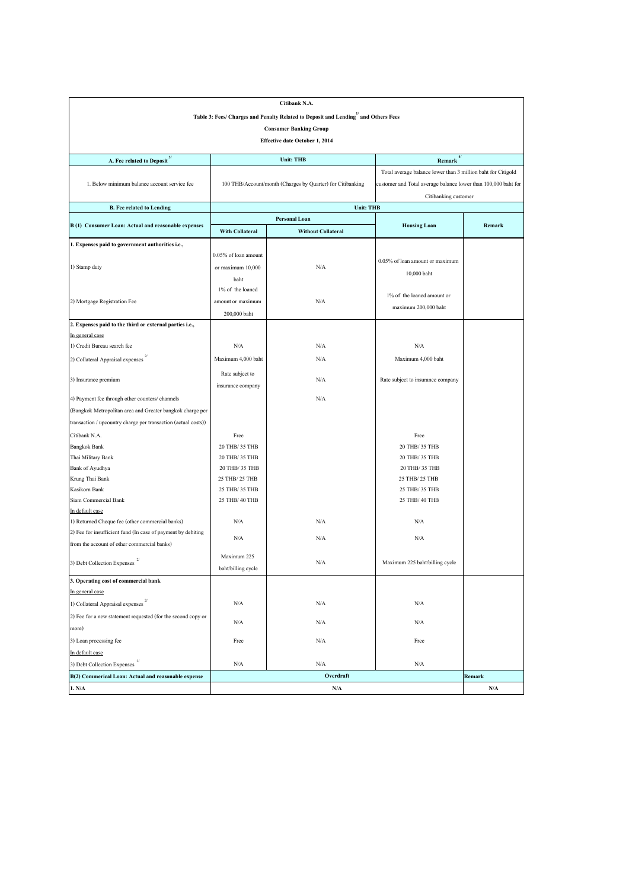|                                                                    |                        | Citibank N.A.                                                                                  |                                                                |               |  |  |  |
|--------------------------------------------------------------------|------------------------|------------------------------------------------------------------------------------------------|----------------------------------------------------------------|---------------|--|--|--|
|                                                                    |                        | Table 3: Fees/ Charges and Penalty Related to Deposit and Lending <sup>1</sup> and Others Fees |                                                                |               |  |  |  |
|                                                                    |                        | <b>Consumer Banking Group</b>                                                                  |                                                                |               |  |  |  |
|                                                                    |                        | <b>Effective date October 1, 2014</b>                                                          |                                                                |               |  |  |  |
|                                                                    |                        |                                                                                                |                                                                |               |  |  |  |
| <b>A. Fee related to Deposit</b> $3/$                              |                        | <b>Unit: THB</b>                                                                               | Remark $\frac{4}{3}$                                           |               |  |  |  |
|                                                                    |                        |                                                                                                | Total average balance lower than 3 million baht for Citigold   |               |  |  |  |
| 1. Below minimum balance account service fee                       |                        | 100 THB/Account/month (Charges by Quarter) for Citibanking                                     | customer and Total average balance lower than 100,000 baht for |               |  |  |  |
|                                                                    |                        |                                                                                                | Citibanking customer                                           |               |  |  |  |
| <b>B.</b> Fee related to Lending                                   |                        | <b>Unit: THB</b>                                                                               |                                                                |               |  |  |  |
|                                                                    |                        | <b>Personal Loan</b>                                                                           |                                                                |               |  |  |  |
| B (1) Consumer Loan: Actual and reasonable expenses                | <b>With Collateral</b> | <b>Without Collateral</b>                                                                      | <b>Housing Loan</b>                                            | <b>Remark</b> |  |  |  |
| 1. Expenses paid to government authorities i.e.,                   |                        |                                                                                                |                                                                |               |  |  |  |
|                                                                    | 0.05% of loan amount   |                                                                                                |                                                                |               |  |  |  |
| 1) Stamp duty                                                      | or maximum 10,000      | N/A                                                                                            | 0.05% of loan amount or maximum                                |               |  |  |  |
|                                                                    | baht                   |                                                                                                | 10,000 baht                                                    |               |  |  |  |
|                                                                    | 1% of the loaned       |                                                                                                |                                                                |               |  |  |  |
| 2) Mortgage Registration Fee                                       | amount or maximum      | N/A                                                                                            | $1\%$ of the loaned amount or                                  |               |  |  |  |
|                                                                    | 200,000 baht           |                                                                                                | maximum 200,000 baht                                           |               |  |  |  |
| 2. Expenses paid to the third or external parties i.e.,            |                        |                                                                                                |                                                                |               |  |  |  |
| In general case                                                    |                        |                                                                                                |                                                                |               |  |  |  |
| 1) Credit Bureau search fee                                        | N/A                    | N/A                                                                                            | N/A                                                            |               |  |  |  |
| 2) Collateral Appraisal expenses                                   | Maximum 4,000 baht     | N/A                                                                                            | Maximum 4,000 baht                                             |               |  |  |  |
|                                                                    | Rate subject to        |                                                                                                |                                                                |               |  |  |  |
| 3) Insurance premium                                               | insurance company      | N/A                                                                                            | Rate subject to insurance company                              |               |  |  |  |
|                                                                    |                        |                                                                                                |                                                                |               |  |  |  |
| 4) Payment fee through other counters/channels                     |                        | N/A                                                                                            |                                                                |               |  |  |  |
| (Bangkok Metropolitan area and Greater bangkok charge per          |                        |                                                                                                |                                                                |               |  |  |  |
| transaction / upcountry charge per transaction (actual costs))     |                        |                                                                                                |                                                                |               |  |  |  |
| Citibank N.A.                                                      | Free                   |                                                                                                | Free                                                           |               |  |  |  |
| <b>Bangkok Bank</b>                                                | 20 THB/ 35 THB         |                                                                                                | 20 THB/ 35 THB                                                 |               |  |  |  |
| Thai Military Bank                                                 | 20 THB/ 35 THB         |                                                                                                | 20 THB/ 35 THB                                                 |               |  |  |  |
| <b>Bank of Ayudhya</b>                                             | 20 THB/ 35 THB         |                                                                                                | 20 THB/ 35 THB                                                 |               |  |  |  |
| Krung Thai Bank                                                    | 25 THB/ 25 THB         |                                                                                                | 25 THB/ 25 THB                                                 |               |  |  |  |
| Kasikorn Bank                                                      | 25 THB/ 35 THB         |                                                                                                | 25 THB/ 35 THB                                                 |               |  |  |  |
| Siam Commercial Bank                                               | 25 THB/ 40 THB         |                                                                                                | 25 THB/ 40 THB                                                 |               |  |  |  |
| In default case<br>1) Returned Cheque fee (other commercial banks) | N/A                    | N/A                                                                                            | N/A                                                            |               |  |  |  |
| (2) Fee for insufficient fund (In case of payment by debiting      |                        |                                                                                                |                                                                |               |  |  |  |
| from the account of other commercial banks)                        | N/A                    | N/A                                                                                            | N/A                                                            |               |  |  |  |
|                                                                    | Maximum 225            |                                                                                                |                                                                |               |  |  |  |
| 2/<br>3) Debt Collection Expenses                                  | baht/billing cycle     | N/A                                                                                            | Maximum 225 baht/billing cycle                                 |               |  |  |  |
| 3. Operating cost of commercial bank                               |                        |                                                                                                |                                                                |               |  |  |  |
| In general case                                                    |                        |                                                                                                |                                                                |               |  |  |  |
| 1) Collateral Appraisal expenses $2/$                              | N/A                    | N/A                                                                                            | N/A                                                            |               |  |  |  |
| (2) Fee for a new statement requested (for the second copy or      | N/A                    | N/A                                                                                            | N/A                                                            |               |  |  |  |
| more)                                                              |                        |                                                                                                |                                                                |               |  |  |  |
| 3) Loan processing fee                                             | Free                   | N/A                                                                                            | Free                                                           |               |  |  |  |
| In default case                                                    |                        |                                                                                                |                                                                |               |  |  |  |
| 2/<br>3) Debt Collection Expenses                                  | N/A                    | N/A                                                                                            | N/A                                                            |               |  |  |  |
| B(2) Commerical Loan: Actual and reasonable expense                |                        | Overdraft                                                                                      |                                                                | Remark        |  |  |  |
| 1. N/A                                                             |                        | N/A                                                                                            |                                                                | N/A           |  |  |  |